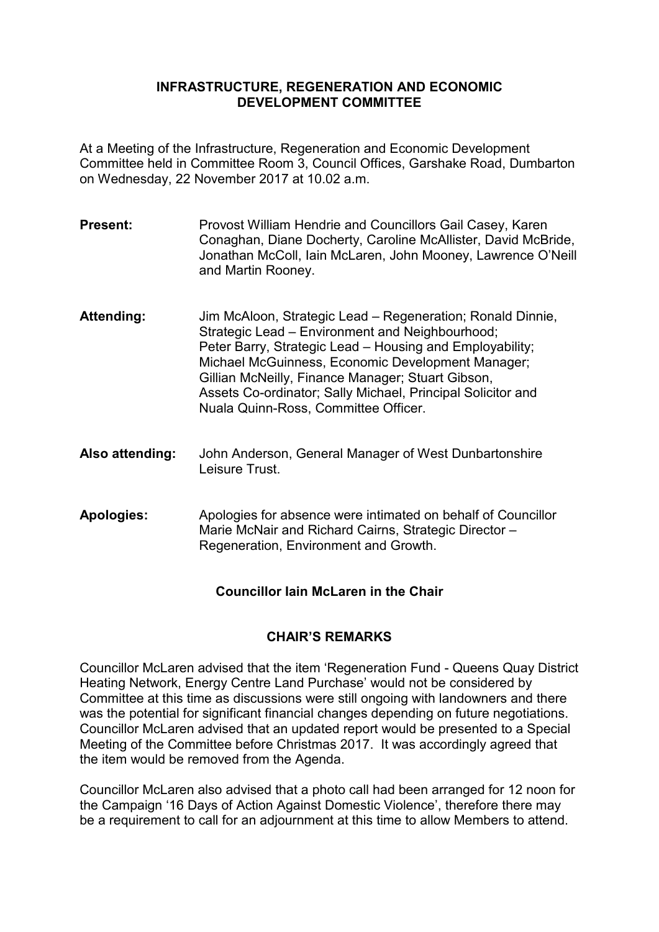#### **INFRASTRUCTURE, REGENERATION AND ECONOMIC DEVELOPMENT COMMITTEE**

At a Meeting of the Infrastructure, Regeneration and Economic Development Committee held in Committee Room 3, Council Offices, Garshake Road, Dumbarton on Wednesday, 22 November 2017 at 10.02 a.m.

- **Present:** Provost William Hendrie and Councillors Gail Casey, Karen Conaghan, Diane Docherty, Caroline McAllister, David McBride, Jonathan McColl, Iain McLaren, John Mooney, Lawrence O'Neill and Martin Rooney.
- **Attending:** Jim McAloon, Strategic Lead Regeneration; Ronald Dinnie, Strategic Lead – Environment and Neighbourhood; Peter Barry, Strategic Lead – Housing and Employability; Michael McGuinness, Economic Development Manager; Gillian McNeilly, Finance Manager; Stuart Gibson, Assets Co-ordinator; Sally Michael, Principal Solicitor and Nuala Quinn-Ross, Committee Officer.
- **Also attending:** John Anderson, General Manager of West Dunbartonshire Leisure Trust.
- **Apologies:** Apologies for absence were intimated on behalf of Councillor Marie McNair and Richard Cairns, Strategic Director – Regeneration, Environment and Growth.

# **Councillor Iain McLaren in the Chair**

### **CHAIR'S REMARKS**

Councillor McLaren advised that the item 'Regeneration Fund - Queens Quay District Heating Network, Energy Centre Land Purchase' would not be considered by Committee at this time as discussions were still ongoing with landowners and there was the potential for significant financial changes depending on future negotiations. Councillor McLaren advised that an updated report would be presented to a Special Meeting of the Committee before Christmas 2017. It was accordingly agreed that the item would be removed from the Agenda.

Councillor McLaren also advised that a photo call had been arranged for 12 noon for the Campaign '16 Days of Action Against Domestic Violence', therefore there may be a requirement to call for an adjournment at this time to allow Members to attend.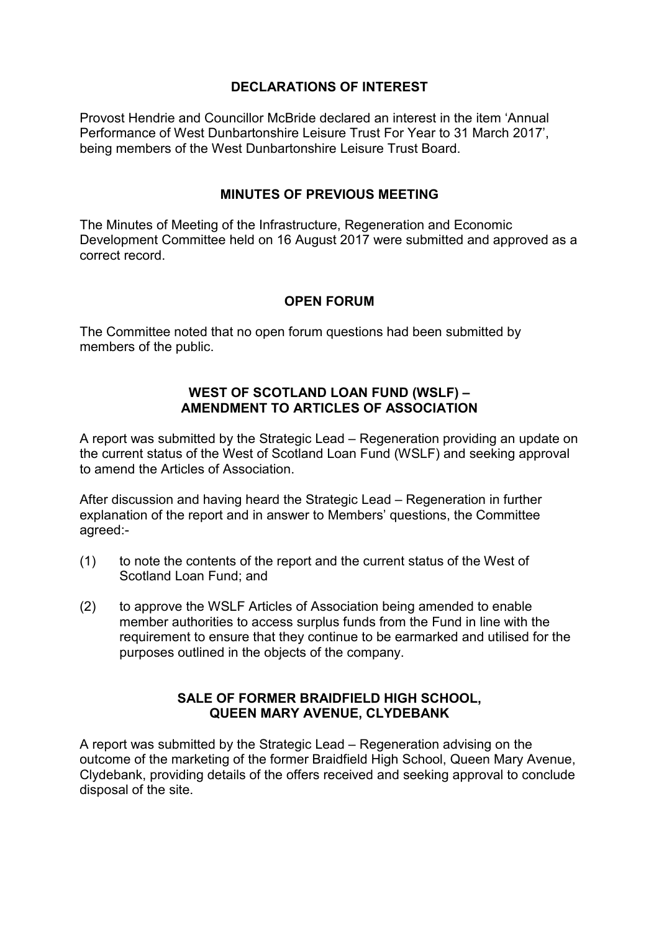## **DECLARATIONS OF INTEREST**

Provost Hendrie and Councillor McBride declared an interest in the item 'Annual Performance of West Dunbartonshire Leisure Trust For Year to 31 March 2017', being members of the West Dunbartonshire Leisure Trust Board.

### **MINUTES OF PREVIOUS MEETING**

The Minutes of Meeting of the Infrastructure, Regeneration and Economic Development Committee held on 16 August 2017 were submitted and approved as a correct record.

## **OPEN FORUM**

The Committee noted that no open forum questions had been submitted by members of the public.

### **WEST OF SCOTLAND LOAN FUND (WSLF) – AMENDMENT TO ARTICLES OF ASSOCIATION**

A report was submitted by the Strategic Lead – Regeneration providing an update on the current status of the West of Scotland Loan Fund (WSLF) and seeking approval to amend the Articles of Association.

After discussion and having heard the Strategic Lead – Regeneration in further explanation of the report and in answer to Members' questions, the Committee agreed:-

- (1) to note the contents of the report and the current status of the West of Scotland Loan Fund; and
- (2) to approve the WSLF Articles of Association being amended to enable member authorities to access surplus funds from the Fund in line with the requirement to ensure that they continue to be earmarked and utilised for the purposes outlined in the objects of the company.

### **SALE OF FORMER BRAIDFIELD HIGH SCHOOL, QUEEN MARY AVENUE, CLYDEBANK**

A report was submitted by the Strategic Lead – Regeneration advising on the outcome of the marketing of the former Braidfield High School, Queen Mary Avenue, Clydebank, providing details of the offers received and seeking approval to conclude disposal of the site.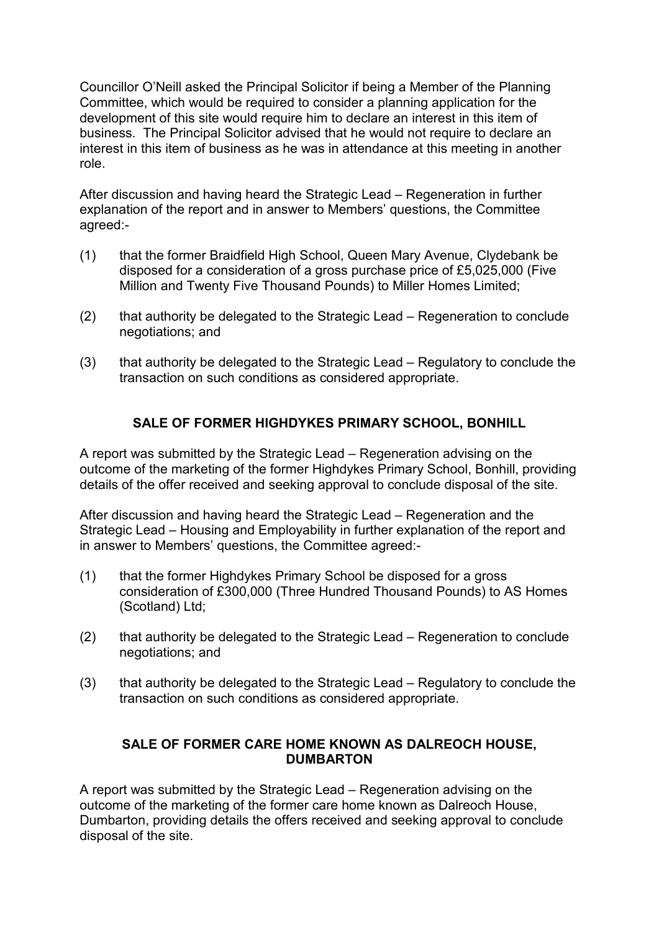Councillor O'Neill asked the Principal Solicitor if being a Member of the Planning Committee, which would be required to consider a planning application for the development of this site would require him to declare an interest in this item of business. The Principal Solicitor advised that he would not require to declare an interest in this item of business as he was in attendance at this meeting in another role.

After discussion and having heard the Strategic Lead – Regeneration in further explanation of the report and in answer to Members' questions, the Committee agreed:-

- (1) that the former Braidfield High School, Queen Mary Avenue, Clydebank be disposed for a consideration of a gross purchase price of £5,025,000 (Five Million and Twenty Five Thousand Pounds) to Miller Homes Limited;
- (2) that authority be delegated to the Strategic Lead Regeneration to conclude negotiations; and
- (3) that authority be delegated to the Strategic Lead Regulatory to conclude the transaction on such conditions as considered appropriate.

# **SALE OF FORMER HIGHDYKES PRIMARY SCHOOL, BONHILL**

A report was submitted by the Strategic Lead – Regeneration advising on the outcome of the marketing of the former Highdykes Primary School, Bonhill, providing details of the offer received and seeking approval to conclude disposal of the site.

After discussion and having heard the Strategic Lead – Regeneration and the Strategic Lead – Housing and Employability in further explanation of the report and in answer to Members' questions, the Committee agreed:-

- (1) that the former Highdykes Primary School be disposed for a gross consideration of £300,000 (Three Hundred Thousand Pounds) to AS Homes (Scotland) Ltd;
- (2) that authority be delegated to the Strategic Lead Regeneration to conclude negotiations; and
- (3) that authority be delegated to the Strategic Lead Regulatory to conclude the transaction on such conditions as considered appropriate.

# **SALE OF FORMER CARE HOME KNOWN AS DALREOCH HOUSE, DUMBARTON**

A report was submitted by the Strategic Lead – Regeneration advising on the outcome of the marketing of the former care home known as Dalreoch House, Dumbarton, providing details the offers received and seeking approval to conclude disposal of the site.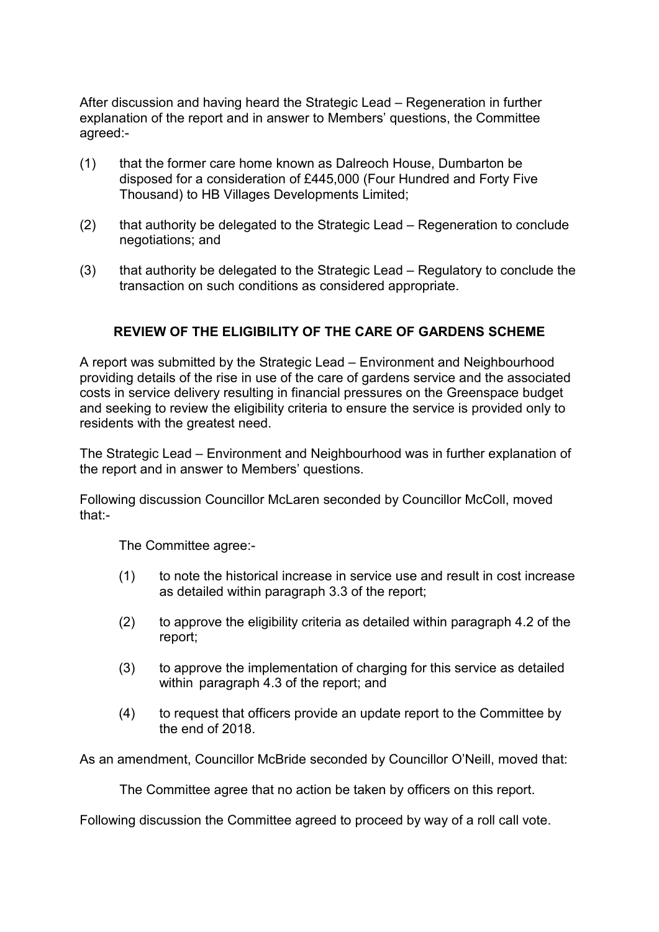After discussion and having heard the Strategic Lead – Regeneration in further explanation of the report and in answer to Members' questions, the Committee agreed:-

- (1) that the former care home known as Dalreoch House, Dumbarton be disposed for a consideration of £445,000 (Four Hundred and Forty Five Thousand) to HB Villages Developments Limited;
- (2) that authority be delegated to the Strategic Lead Regeneration to conclude negotiations; and
- (3) that authority be delegated to the Strategic Lead Regulatory to conclude the transaction on such conditions as considered appropriate.

## **REVIEW OF THE ELIGIBILITY OF THE CARE OF GARDENS SCHEME**

A report was submitted by the Strategic Lead – Environment and Neighbourhood providing details of the rise in use of the care of gardens service and the associated costs in service delivery resulting in financial pressures on the Greenspace budget and seeking to review the eligibility criteria to ensure the service is provided only to residents with the greatest need.

The Strategic Lead – Environment and Neighbourhood was in further explanation of the report and in answer to Members' questions.

Following discussion Councillor McLaren seconded by Councillor McColl, moved that:-

The Committee agree:-

- (1) to note the historical increase in service use and result in cost increase as detailed within paragraph 3.3 of the report;
- (2) to approve the eligibility criteria as detailed within paragraph 4.2 of the report;
- (3) to approve the implementation of charging for this service as detailed within paragraph 4.3 of the report; and
- (4) to request that officers provide an update report to the Committee by the end of 2018.

As an amendment, Councillor McBride seconded by Councillor O'Neill, moved that:

The Committee agree that no action be taken by officers on this report.

Following discussion the Committee agreed to proceed by way of a roll call vote.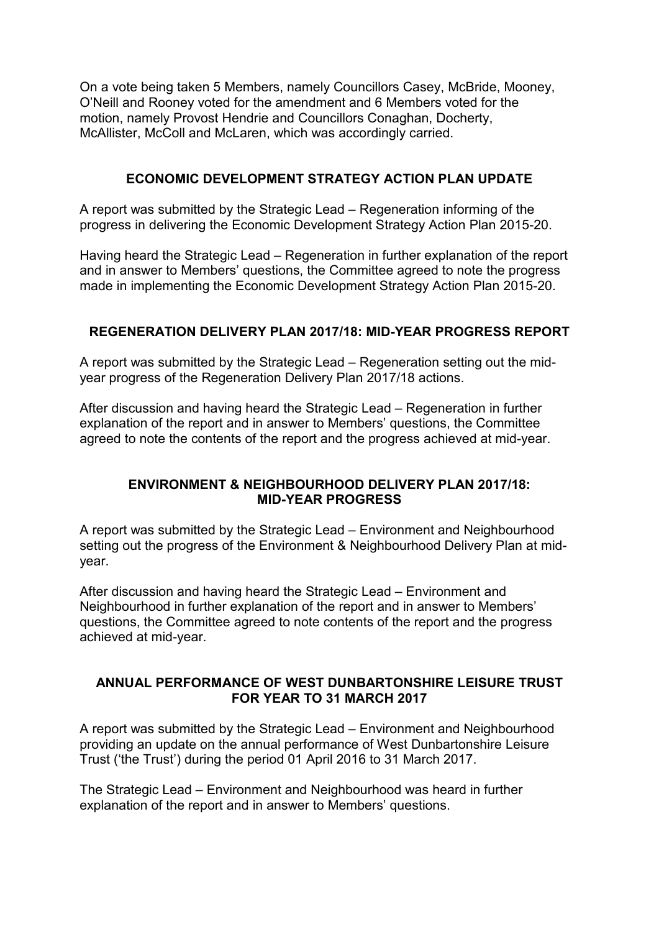On a vote being taken 5 Members, namely Councillors Casey, McBride, Mooney, O'Neill and Rooney voted for the amendment and 6 Members voted for the motion, namely Provost Hendrie and Councillors Conaghan, Docherty, McAllister, McColl and McLaren, which was accordingly carried.

### **ECONOMIC DEVELOPMENT STRATEGY ACTION PLAN UPDATE**

A report was submitted by the Strategic Lead – Regeneration informing of the progress in delivering the Economic Development Strategy Action Plan 2015-20.

Having heard the Strategic Lead – Regeneration in further explanation of the report and in answer to Members' questions, the Committee agreed to note the progress made in implementing the Economic Development Strategy Action Plan 2015-20.

## **REGENERATION DELIVERY PLAN 2017/18: MID-YEAR PROGRESS REPORT**

A report was submitted by the Strategic Lead – Regeneration setting out the midyear progress of the Regeneration Delivery Plan 2017/18 actions.

After discussion and having heard the Strategic Lead – Regeneration in further explanation of the report and in answer to Members' questions, the Committee agreed to note the contents of the report and the progress achieved at mid-year.

## **ENVIRONMENT & NEIGHBOURHOOD DELIVERY PLAN 2017/18: MID-YEAR PROGRESS**

A report was submitted by the Strategic Lead – Environment and Neighbourhood setting out the progress of the Environment & Neighbourhood Delivery Plan at midyear.

After discussion and having heard the Strategic Lead – Environment and Neighbourhood in further explanation of the report and in answer to Members' questions, the Committee agreed to note contents of the report and the progress achieved at mid-year.

### **ANNUAL PERFORMANCE OF WEST DUNBARTONSHIRE LEISURE TRUST FOR YEAR TO 31 MARCH 2017**

A report was submitted by the Strategic Lead – Environment and Neighbourhood providing an update on the annual performance of West Dunbartonshire Leisure Trust ('the Trust') during the period 01 April 2016 to 31 March 2017.

The Strategic Lead – Environment and Neighbourhood was heard in further explanation of the report and in answer to Members' questions.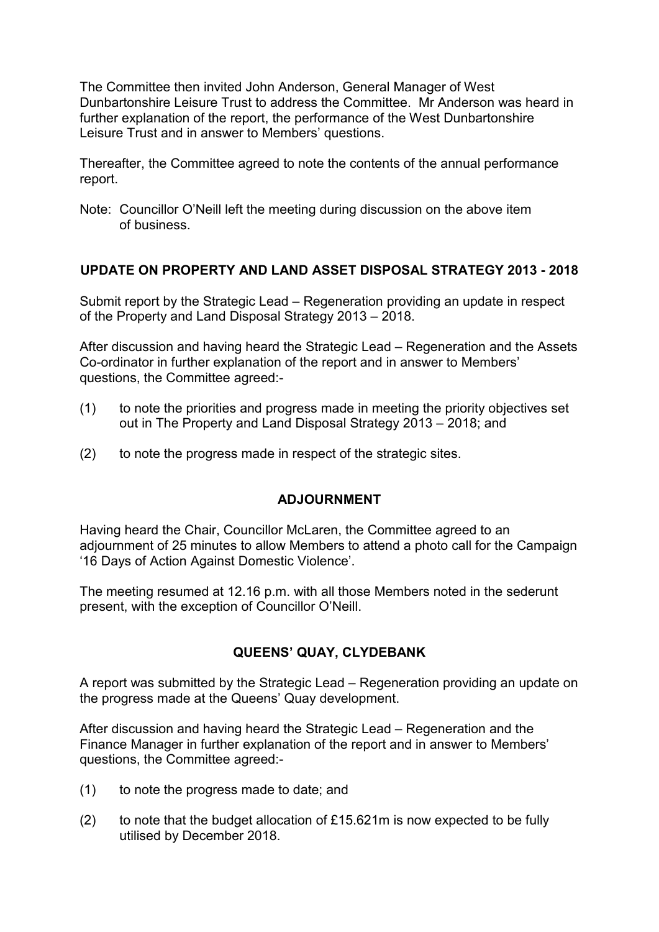The Committee then invited John Anderson, General Manager of West Dunbartonshire Leisure Trust to address the Committee. Mr Anderson was heard in further explanation of the report, the performance of the West Dunbartonshire Leisure Trust and in answer to Members' questions.

Thereafter, the Committee agreed to note the contents of the annual performance report.

Note: Councillor O'Neill left the meeting during discussion on the above item of business.

### **UPDATE ON PROPERTY AND LAND ASSET DISPOSAL STRATEGY 2013 - 2018**

Submit report by the Strategic Lead – Regeneration providing an update in respect of the Property and Land Disposal Strategy 2013 – 2018.

After discussion and having heard the Strategic Lead – Regeneration and the Assets Co-ordinator in further explanation of the report and in answer to Members' questions, the Committee agreed:-

- (1) to note the priorities and progress made in meeting the priority objectives set out in The Property and Land Disposal Strategy 2013 – 2018; and
- (2) to note the progress made in respect of the strategic sites.

### **ADJOURNMENT**

Having heard the Chair, Councillor McLaren, the Committee agreed to an adjournment of 25 minutes to allow Members to attend a photo call for the Campaign '16 Days of Action Against Domestic Violence'.

The meeting resumed at 12.16 p.m. with all those Members noted in the sederunt present, with the exception of Councillor O'Neill.

# **QUEENS' QUAY, CLYDEBANK**

A report was submitted by the Strategic Lead – Regeneration providing an update on the progress made at the Queens' Quay development.

After discussion and having heard the Strategic Lead – Regeneration and the Finance Manager in further explanation of the report and in answer to Members' questions, the Committee agreed:-

- (1) to note the progress made to date; and
- (2) to note that the budget allocation of £15.621m is now expected to be fully utilised by December 2018.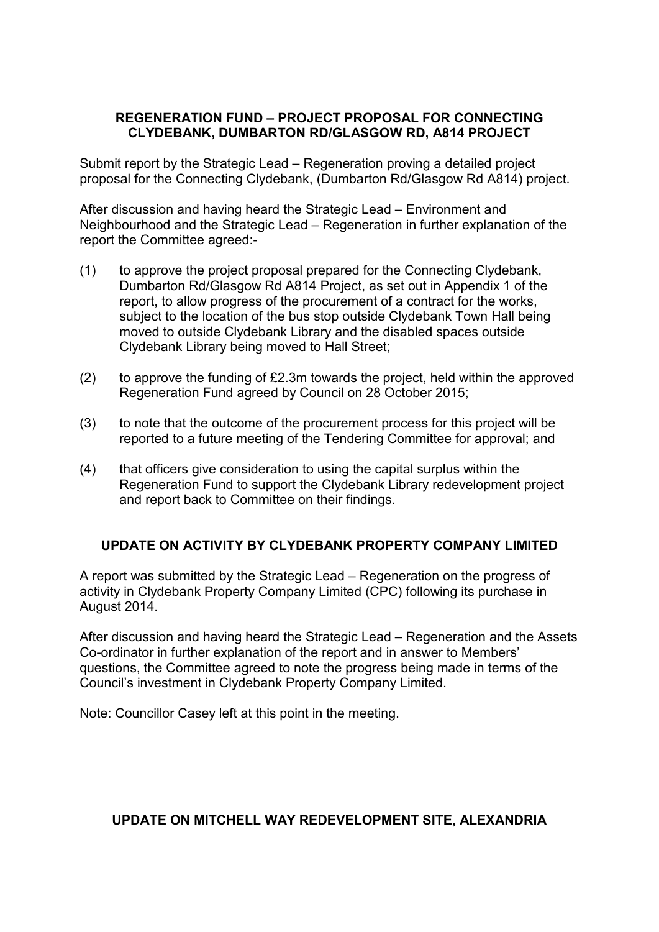### **REGENERATION FUND – PROJECT PROPOSAL FOR CONNECTING CLYDEBANK, DUMBARTON RD/GLASGOW RD, A814 PROJECT**

Submit report by the Strategic Lead – Regeneration proving a detailed project proposal for the Connecting Clydebank, (Dumbarton Rd/Glasgow Rd A814) project.

After discussion and having heard the Strategic Lead – Environment and Neighbourhood and the Strategic Lead – Regeneration in further explanation of the report the Committee agreed:-

- (1) to approve the project proposal prepared for the Connecting Clydebank, Dumbarton Rd/Glasgow Rd A814 Project, as set out in Appendix 1 of the report, to allow progress of the procurement of a contract for the works, subject to the location of the bus stop outside Clydebank Town Hall being moved to outside Clydebank Library and the disabled spaces outside Clydebank Library being moved to Hall Street;
- (2) to approve the funding of £2.3m towards the project, held within the approved Regeneration Fund agreed by Council on 28 October 2015;
- (3) to note that the outcome of the procurement process for this project will be reported to a future meeting of the Tendering Committee for approval; and
- (4) that officers give consideration to using the capital surplus within the Regeneration Fund to support the Clydebank Library redevelopment project and report back to Committee on their findings.

# **UPDATE ON ACTIVITY BY CLYDEBANK PROPERTY COMPANY LIMITED**

A report was submitted by the Strategic Lead – Regeneration on the progress of activity in Clydebank Property Company Limited (CPC) following its purchase in August 2014.

After discussion and having heard the Strategic Lead – Regeneration and the Assets Co-ordinator in further explanation of the report and in answer to Members' questions, the Committee agreed to note the progress being made in terms of the Council's investment in Clydebank Property Company Limited.

Note: Councillor Casey left at this point in the meeting.

### **UPDATE ON MITCHELL WAY REDEVELOPMENT SITE, ALEXANDRIA**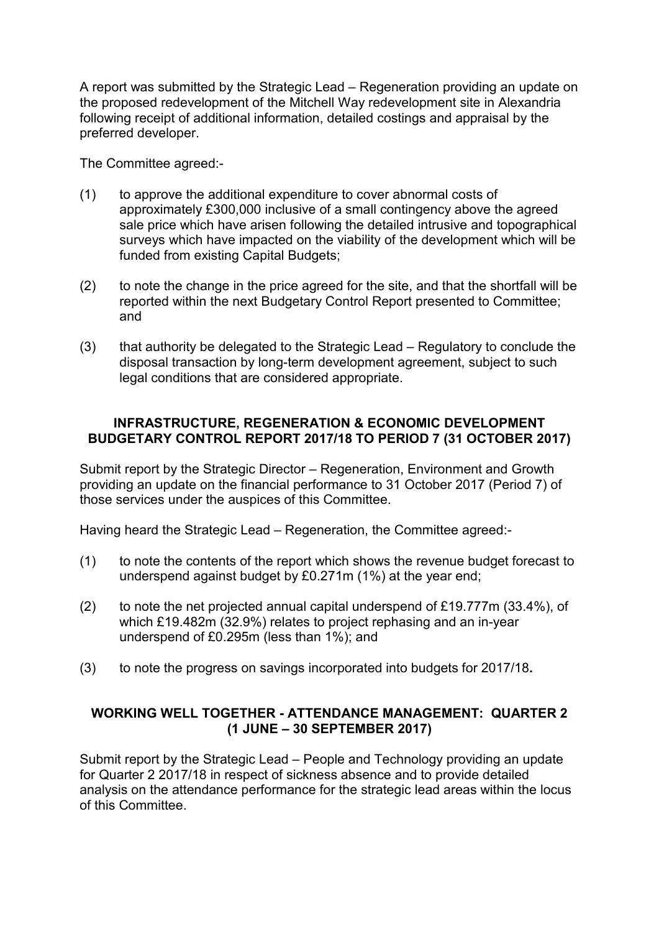A report was submitted by the Strategic Lead – Regeneration providing an update on the proposed redevelopment of the Mitchell Way redevelopment site in Alexandria following receipt of additional information, detailed costings and appraisal by the preferred developer.

The Committee agreed:-

- (1) to approve the additional expenditure to cover abnormal costs of approximately £300,000 inclusive of a small contingency above the agreed sale price which have arisen following the detailed intrusive and topographical surveys which have impacted on the viability of the development which will be funded from existing Capital Budgets;
- (2) to note the change in the price agreed for the site, and that the shortfall will be reported within the next Budgetary Control Report presented to Committee; and
- (3) that authority be delegated to the Strategic Lead Regulatory to conclude the disposal transaction by long-term development agreement, subject to such legal conditions that are considered appropriate.

### **INFRASTRUCTURE, REGENERATION & ECONOMIC DEVELOPMENT BUDGETARY CONTROL REPORT 2017/18 TO PERIOD 7 (31 OCTOBER 2017)**

Submit report by the Strategic Director – Regeneration, Environment and Growth providing an update on the financial performance to 31 October 2017 (Period 7) of those services under the auspices of this Committee.

Having heard the Strategic Lead – Regeneration, the Committee agreed:-

- (1) to note the contents of the report which shows the revenue budget forecast to underspend against budget by £0.271m (1%) at the year end;
- (2) to note the net projected annual capital underspend of £19.777m (33.4%), of which £19.482m (32.9%) relates to project rephasing and an in-year underspend of £0.295m (less than 1%); and
- (3) to note the progress on savings incorporated into budgets for 2017/18**.**

## **WORKING WELL TOGETHER - ATTENDANCE MANAGEMENT: QUARTER 2 (1 JUNE – 30 SEPTEMBER 2017)**

Submit report by the Strategic Lead – People and Technology providing an update for Quarter 2 2017/18 in respect of sickness absence and to provide detailed analysis on the attendance performance for the strategic lead areas within the locus of this Committee.